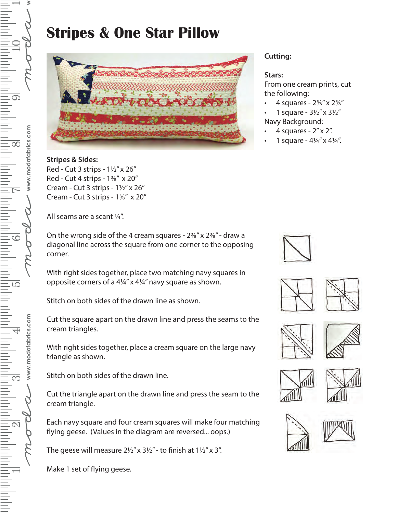## **Stripes & One Star Pillow**



**Stripes & Sides:**  Red - Cut 3 strips - 1½" x 26" Red - Cut 4 strips - 1⅜" x 20" Cream - Cut 3 strips - 1½" x 26" Cream - Cut 3 strips - 1⅜" x 20"

All seams are a scant ¼".

On the wrong side of the 4 cream squares - 2⅜" x 2⅜" - draw a diagonal line across the square from one corner to the opposing corner.

With right sides together, place two matching navy squares in opposite corners of a 4¼" x 4¼" navy square as shown.

Stitch on both sides of the drawn line as shown.

Cut the square apart on the drawn line and press the seams to the cream triangles.

With right sides together, place a cream square on the large navy triangle as shown.

Stitch on both sides of the drawn line.

Cut the triangle apart on the drawn line and press the seam to the cream triangle.

Each navy square and four cream squares will make four matching flying geese. (Values in the diagram are reversed... oops.)

The geese will measure  $2\frac{1}{2}$ " x  $3\frac{1}{2}$ " - to finish at  $1\frac{1}{2}$ " x 3".

Make 1 set of flying geese.

## **Cutting:**

## **Stars:**

From one cream prints, cut the following:

- 4 squares 2⅜" x 2⅜"
- 1 square  $3\frac{1}{2}$ " x  $3\frac{1}{2}$ " Navy Background:
- 4 squares 2" x 2".
- 1 square  $4\frac{1}{4}$ " x  $4\frac{1}{4}$ ".